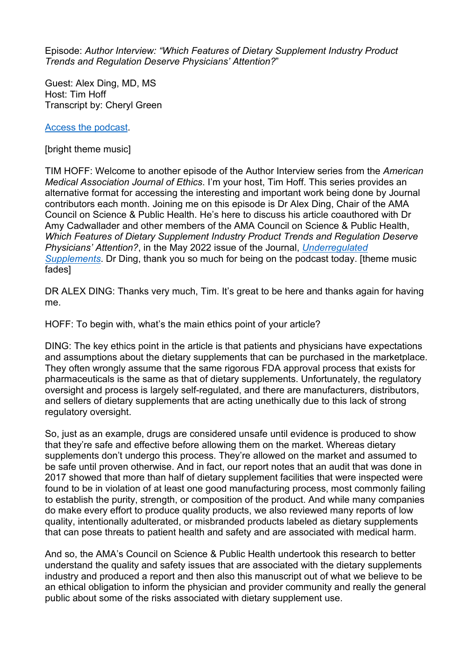Episode: *Author Interview: "Which Features of Dietary Supplement Industry Product Trends and Regulation Deserve Physicians' Attention?*"

Guest: Alex Ding, MD, MS Host: Tim Hoff Transcript by: Cheryl Green

[Access the](https://journalofethics.ama-assn.org/podcast/author-interview-which-features-dietary-supplement-industry-product-trends-and-regulation-deserve) podcast.

[bright theme music]

TIM HOFF: Welcome to another episode of the Author Interview series from the *American Medical Association Journal of Ethics*. I'm your host, Tim Hoff. This series provides an alternative format for accessing the interesting and important work being done by Journal contributors each month. Joining me on this episode is Dr Alex Ding, Chair of the AMA Council on Science & Public Health. He's here to discuss his article coauthored with Dr Amy Cadwallader and other members of the AMA Council on Science & Public Health, *Which Features of Dietary Supplement Industry Product Trends and Regulation Deserve Physicians' Attention?*, in the May 2022 issue of the Journal, *[Underregulated](https://journalofethics.ama-assn.org/issue/unregulated-supplements)  [Supplements](https://journalofethics.ama-assn.org/issue/unregulated-supplements)*. Dr Ding, thank you so much for being on the podcast today. [theme music fades]

DR ALEX DING: Thanks very much, Tim. It's great to be here and thanks again for having me.

HOFF: To begin with, what's the main ethics point of your article?

DING: The key ethics point in the article is that patients and physicians have expectations and assumptions about the dietary supplements that can be purchased in the marketplace. They often wrongly assume that the same rigorous FDA approval process that exists for pharmaceuticals is the same as that of dietary supplements. Unfortunately, the regulatory oversight and process is largely self-regulated, and there are manufacturers, distributors, and sellers of dietary supplements that are acting unethically due to this lack of strong regulatory oversight.

So, just as an example, drugs are considered unsafe until evidence is produced to show that they're safe and effective before allowing them on the market. Whereas dietary supplements don't undergo this process. They're allowed on the market and assumed to be safe until proven otherwise. And in fact, our report notes that an audit that was done in 2017 showed that more than half of dietary supplement facilities that were inspected were found to be in violation of at least one good manufacturing process, most commonly failing to establish the purity, strength, or composition of the product. And while many companies do make every effort to produce quality products, we also reviewed many reports of low quality, intentionally adulterated, or misbranded products labeled as dietary supplements that can pose threats to patient health and safety and are associated with medical harm.

And so, the AMA's Council on Science & Public Health undertook this research to better understand the quality and safety issues that are associated with the dietary supplements industry and produced a report and then also this manuscript out of what we believe to be an ethical obligation to inform the physician and provider community and really the general public about some of the risks associated with dietary supplement use.